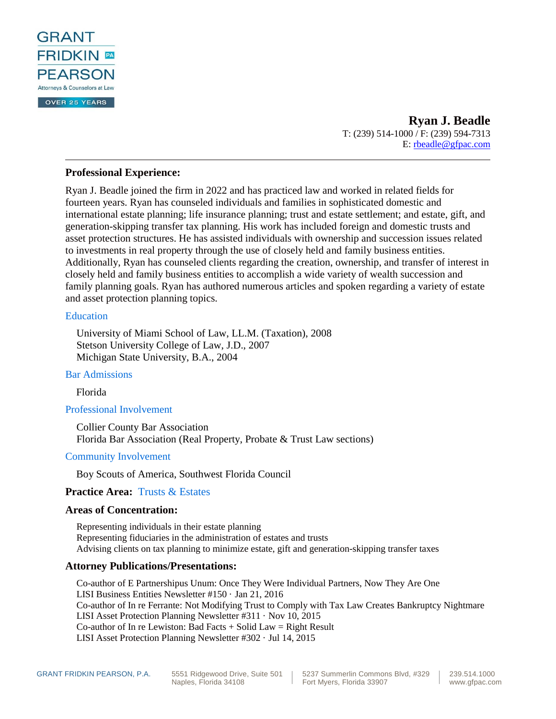

**Ryan J. Beadle** T: (239) 514-1000 / F: (239) 594-7313 E: [rbeadle@gfpac.com](mailto:rbeadle@gfpac.com)

# **Professional Experience:**

Ryan J. Beadle joined the firm in 2022 and has practiced law and worked in related fields for fourteen years. Ryan has counseled individuals and families in sophisticated domestic and international estate planning; life insurance planning; trust and estate settlement; and estate, gift, and generation-skipping transfer tax planning. His work has included foreign and domestic trusts and asset protection structures. He has assisted individuals with ownership and succession issues related to investments in real property through the use of closely held and family business entities. Additionally, Ryan has counseled clients regarding the creation, ownership, and transfer of interest in closely held and family business entities to accomplish a wide variety of wealth succession and family planning goals. Ryan has authored numerous articles and spoken regarding a variety of estate and asset protection planning topics.

#### [Education](http://grant.netone360.com/andrew_woods/#1443608983559-4336432f-d3aac4bd-5183b6a2-0358)

University of Miami School of Law, LL.M. (Taxation), 2008 Stetson University College of Law, J.D., 2007 Michigan State University, B.A., 2004

[Bar Admissions](http://grant.netone360.com/andrew_woods/#1443662918010-53d045c7-24d3c4bd-5183b6a2-0358)

Florida

[Professional Involvement](http://grant.netone360.com/andrew_woods/#1443662946087-e184f292-4371c4bd-5183b6a2-0358)

Collier County Bar Association Florida Bar Association (Real Property, Probate & Trust Law sections)

## [Community Involvement](http://grant.netone360.com/andrew_woods/#1485444753086-efe52c2c-289f)

Boy Scouts of America, Southwest Florida Council

# **Practice Area:** [Trusts & Estates](http://grant.netone360.com/trust-and-estates/)

## **Areas of Concentration:**

Representing individuals in their estate planning Representing fiduciaries in the administration of estates and trusts Advising clients on tax planning to minimize estate, gift and generation-skipping transfer taxes

## **Attorney Publications/Presentations:**

Co-author of E Partnershipus Unum: Once They Were Individual Partners, Now They Are One LISI Business Entities Newsletter #150 · Jan 21, 2016 Co-author of In re Ferrante: Not Modifying Trust to Comply with Tax Law Creates Bankruptcy Nightmare LISI Asset Protection Planning Newsletter #311 · Nov 10, 2015 Co-author of In re Lewiston: Bad Facts  $+$  Solid Law  $=$  Right Result LISI Asset Protection Planning Newsletter #302 · Jul 14, 2015